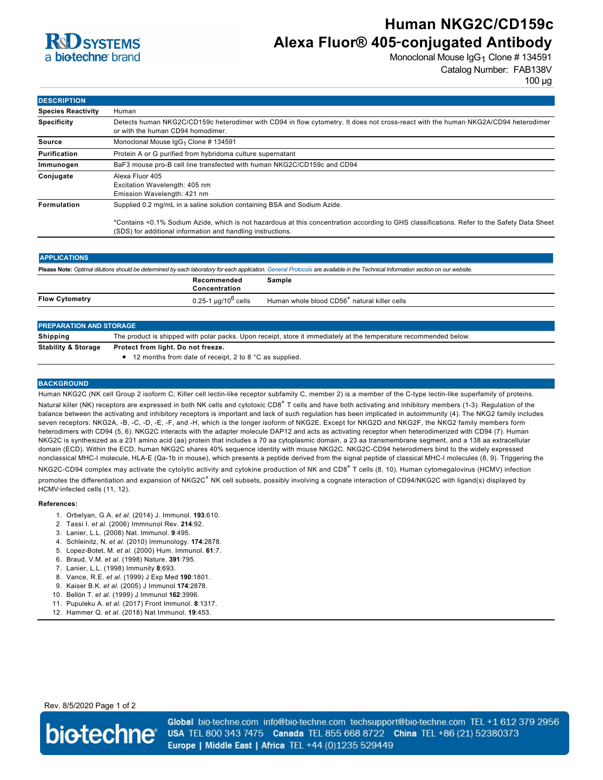

# **Human NKG2C/CD159c Alexa Fluor® 405**‑**conjugated Antibody**

Monoclonal Mouse IgG<sub>1</sub> Clone # 134591 Catalog Number: FAB138V

100 µg

| <b>DESCRIPTION</b>        |                                                                                                                                                                                                            |
|---------------------------|------------------------------------------------------------------------------------------------------------------------------------------------------------------------------------------------------------|
| <b>Species Reactivity</b> | Human                                                                                                                                                                                                      |
| <b>Specificity</b>        | Detects human NKG2C/CD159c heterodimer with CD94 in flow cytometry. It does not cross-react with the human NKG2A/CD94 heterodimer<br>or with the human CD94 homodimer.                                     |
| Source                    | Monoclonal Mouse $\lg G_1$ Clone # 134591                                                                                                                                                                  |
| Purification              | Protein A or G purified from hybridoma culture supernatant                                                                                                                                                 |
| Immunogen                 | BaF3 mouse pro-B cell line transfected with human NKG2C/CD159c and CD94                                                                                                                                    |
| Conjugate                 | Alexa Fluor 405<br>Excitation Wavelength: 405 nm<br>Emission Wavelength: 421 nm                                                                                                                            |
| <b>Formulation</b>        | Supplied 0.2 mg/mL in a saline solution containing BSA and Sodium Azide.                                                                                                                                   |
|                           | *Contains <0.1% Sodium Azide, which is not hazardous at this concentration according to GHS classifications. Refer to the Safety Data Sheet<br>(SDS) for additional information and handling instructions. |

| <b>APPLICATIONS</b>                                                                                                                                                               |                                 |                                                          |  |
|-----------------------------------------------------------------------------------------------------------------------------------------------------------------------------------|---------------------------------|----------------------------------------------------------|--|
| Please Note: Optimal dilutions should be determined by each laboratory for each application. General Protocols are available in the Technical Information section on our website. |                                 |                                                          |  |
|                                                                                                                                                                                   | Recommended<br>Concentration    | Sample                                                   |  |
| <b>Flow Cytometry</b>                                                                                                                                                             | 0.25-1 µg/10 <sup>6</sup> cells | Human whole blood CD56 <sup>+</sup> natural killer cells |  |
|                                                                                                                                                                                   |                                 |                                                          |  |

| <b>PREPARATION AND STORAGE</b> |                                                                                                                   |  |
|--------------------------------|-------------------------------------------------------------------------------------------------------------------|--|
| Shipping                       | The product is shipped with polar packs. Upon receipt, store it immediately at the temperature recommended below. |  |
| <b>Stability &amp; Storage</b> | Protect from light. Do not freeze.<br>$\bullet$ 12 months from date of receipt, 2 to 8 °C as supplied.            |  |

### **BACKGROUND**

Human NKG2C (NK cell Group 2 isoform C; Killer cell lectin-like receptor subfamily C, member 2) is a member of the C-type lectin-like superfamily of proteins. Natural killer (NK) receptors are expressed in both NK cells and cytotoxic CD8<sup>+</sup> T cells and have both activating and inhibitory members (1-3). Regulation of the balance between the activating and inhibitory receptors is important and lack of such regulation has been implicated in autoimmunity (4). The NKG2 family includes seven receptors: NKG2A, -B, -C, -D, -E, -F, and -H, which is the longer isoform of NKG2E. Except for NKG2D and NKG2F, the NKG2 family members form heterodimers with CD94 (5, 6). NKG2C interacts with the adapter molecule DAP12 and acts as activating receptor when heterodimerized with CD94 (7). Human NKG2C is synthesized as a 231 amino acid (aa) protein that includes a 70 aa cytoplasmic domain, a 23 aa transmembrane segment, and a 138 aa extracellular domain (ECD). Within the ECD, human NKG2C shares 40% sequence identity with mouse NKG2C. NKG2C-CD94 heterodimers bind to the widely expressed nonclassical MHC-I molecule, HLA-E (Qa-1b in mouse), which presents a peptide derived from the signal peptide of classical MHC-I molecules (8, 9). Triggering the NKG2C-CD94 complex may activate the cytolytic activity and cytokine production of NK and CD8<sup>+</sup> T cells (8, 10). Human cytomegalovirus (HCMV) infection promotes the differentiation and expansion of NKG2C<sup>+</sup> NK cell subsets, possibly involving a cognate interaction of CD94/NKG2C with ligand(s) displayed by HCMV‑infected cells (11, 12).

#### **References:**

- 1. Orbelyan, G.A. *et al*. (2014) J. Immunol. **193**:610.
- 2. Tassi I. *et al*. (2006) Immnunol Rev. **214**:92.
- 3. Lanier, L.L. (2008) Nat. Immunol. **9**:495.
- 4. Schleinitz, N. *et al*. (2010) Immunology. **174**:2878.
- 5. Lopez-Botet, M. *et al*. (2000) Hum. Immunol. **61**:7.
- 6. Braud, V.M. *et al*. (1998) Nature. **391**:795.
- 7. Lanier, L.L. (1998) Immunity **8**:693.
- 8. Vance, R.E. *et al*. (1999) J Exp Med **190**:1801.
- 
- 9. Kaiser B.K. *et al*. (2005) J Immunol **174**:2878. 10. Bellón T. *et al*. (1999) J Immunol **162**:3996.
- 
- 11. Pupuleku A. *et al*. (2017) Front Immunol. **8**:1317. 12. Hammer Q. *et al*. (2018) Nat Immunol. **19**:453.
- 

Rev. 8/5/2020 Page 1 of 2



Global bio-techne.com info@bio-techne.com techsupport@bio-techne.com TEL +1 612 379 2956 USA TEL 800 343 7475 Canada TEL 855 668 8722 China TEL +86 (21) 52380373 Europe | Middle East | Africa TEL +44 (0)1235 529449